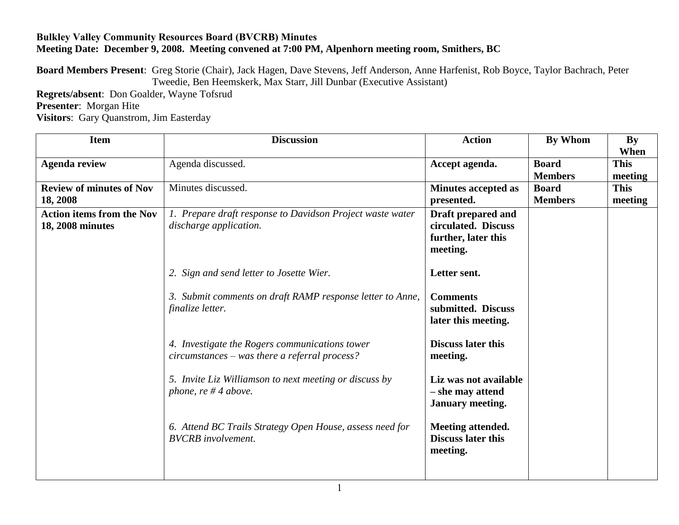## **Bulkley Valley Community Resources Board (BVCRB) Minutes Meeting Date: December 9, 2008. Meeting convened at 7:00 PM, Alpenhorn meeting room, Smithers, BC**

**Board Members Present**: Greg Storie (Chair), Jack Hagen, Dave Stevens, Jeff Anderson, Anne Harfenist, Rob Boyce, Taylor Bachrach, Peter Tweedie, Ben Heemskerk, Max Starr, Jill Dunbar (Executive Assistant)

**Regrets/absent**: Don Goalder, Wayne Tofsrud **Presenter**: Morgan Hite **Visitors**: Gary Quanstrom, Jim Easterday

| <b>Item</b>                                          | <b>Discussion</b>                                                                                 | <b>Action</b>                                                                | By Whom                                          | <b>By</b><br>When                 |
|------------------------------------------------------|---------------------------------------------------------------------------------------------------|------------------------------------------------------------------------------|--------------------------------------------------|-----------------------------------|
| <b>Agenda review</b>                                 | Agenda discussed.                                                                                 | Accept agenda.                                                               | <b>Board</b>                                     | <b>This</b>                       |
| <b>Review of minutes of Nov</b><br>18, 2008          | Minutes discussed.                                                                                | <b>Minutes accepted as</b><br>presented.                                     | <b>Members</b><br><b>Board</b><br><b>Members</b> | meeting<br><b>This</b><br>meeting |
| <b>Action items from the Nov</b><br>18, 2008 minutes | 1. Prepare draft response to Davidson Project waste water<br>discharge application.               | Draft prepared and<br>circulated. Discuss<br>further, later this<br>meeting. |                                                  |                                   |
|                                                      | 2. Sign and send letter to Josette Wier.                                                          | Letter sent.                                                                 |                                                  |                                   |
|                                                      | 3. Submit comments on draft RAMP response letter to Anne,<br>finalize letter.                     | <b>Comments</b><br>submitted. Discuss<br>later this meeting.                 |                                                  |                                   |
|                                                      | 4. Investigate the Rogers communications tower<br>$circumstances - was there a referral process?$ | <b>Discuss later this</b><br>meeting.                                        |                                                  |                                   |
|                                                      | 5. Invite Liz Williamson to next meeting or discuss by<br>phone, re $#4$ above.                   | Liz was not available<br>- she may attend<br><b>January meeting.</b>         |                                                  |                                   |
|                                                      | 6. Attend BC Trails Strategy Open House, assess need for<br><b>BVCRB</b> involvement.             | Meeting attended.<br><b>Discuss later this</b><br>meeting.                   |                                                  |                                   |
|                                                      |                                                                                                   |                                                                              |                                                  |                                   |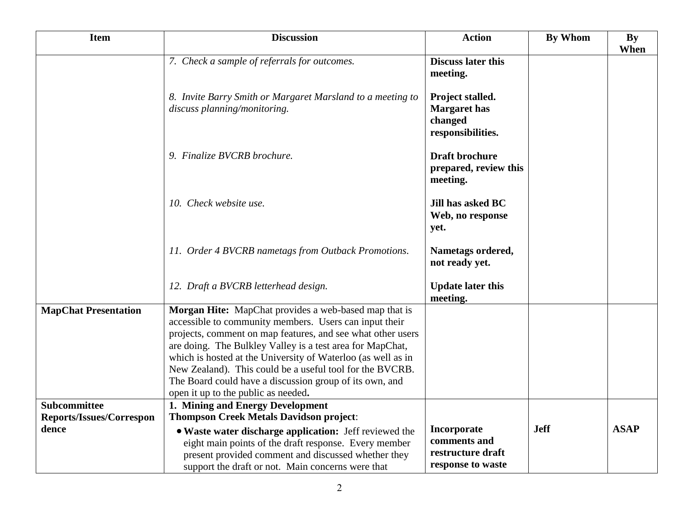| <b>Item</b>                                     | <b>Discussion</b>                                                                                                                                                                                                                                                                                                                                                                                                                                                         | <b>Action</b>                                                           | <b>By Whom</b> | <b>By</b><br>When |
|-------------------------------------------------|---------------------------------------------------------------------------------------------------------------------------------------------------------------------------------------------------------------------------------------------------------------------------------------------------------------------------------------------------------------------------------------------------------------------------------------------------------------------------|-------------------------------------------------------------------------|----------------|-------------------|
|                                                 | 7. Check a sample of referrals for outcomes.                                                                                                                                                                                                                                                                                                                                                                                                                              | <b>Discuss later this</b><br>meeting.                                   |                |                   |
|                                                 | 8. Invite Barry Smith or Margaret Marsland to a meeting to<br>discuss planning/monitoring.                                                                                                                                                                                                                                                                                                                                                                                | Project stalled.<br><b>Margaret</b> has<br>changed<br>responsibilities. |                |                   |
|                                                 | 9. Finalize BVCRB brochure.                                                                                                                                                                                                                                                                                                                                                                                                                                               | <b>Draft brochure</b><br>prepared, review this<br>meeting.              |                |                   |
|                                                 | 10. Check website use.                                                                                                                                                                                                                                                                                                                                                                                                                                                    | Jill has asked BC<br>Web, no response<br>yet.                           |                |                   |
|                                                 | 11. Order 4 BVCRB nametags from Outback Promotions.                                                                                                                                                                                                                                                                                                                                                                                                                       | Nametags ordered,<br>not ready yet.                                     |                |                   |
|                                                 | 12. Draft a BVCRB letterhead design.                                                                                                                                                                                                                                                                                                                                                                                                                                      | <b>Update later this</b><br>meeting.                                    |                |                   |
| <b>MapChat Presentation</b>                     | Morgan Hite: MapChat provides a web-based map that is<br>accessible to community members. Users can input their<br>projects, comment on map features, and see what other users<br>are doing. The Bulkley Valley is a test area for MapChat,<br>which is hosted at the University of Waterloo (as well as in<br>New Zealand). This could be a useful tool for the BVCRB.<br>The Board could have a discussion group of its own, and<br>open it up to the public as needed. |                                                                         |                |                   |
| <b>Subcommittee</b><br>Reports/Issues/Correspon | 1. Mining and Energy Development<br><b>Thompson Creek Metals Davidson project:</b>                                                                                                                                                                                                                                                                                                                                                                                        |                                                                         |                |                   |
| dence                                           | • Waste water discharge application: Jeff reviewed the<br>eight main points of the draft response. Every member<br>present provided comment and discussed whether they<br>support the draft or not. Main concerns were that                                                                                                                                                                                                                                               | Incorporate<br>comments and<br>restructure draft<br>response to waste   | <b>Jeff</b>    | <b>ASAP</b>       |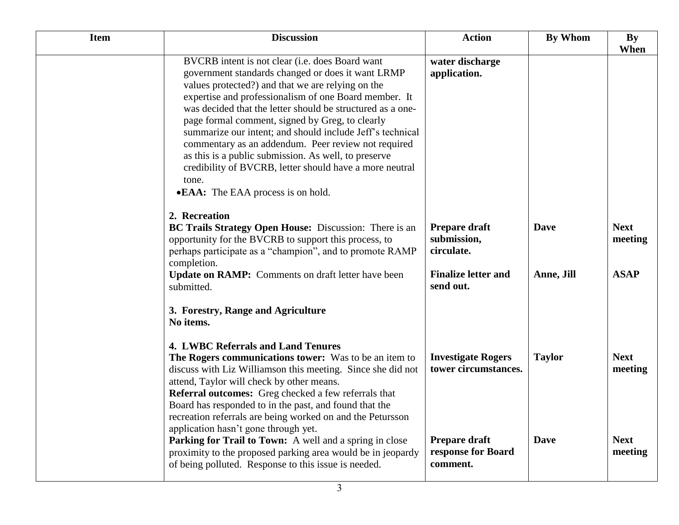| <b>Item</b> | <b>Discussion</b>                                                                                                                                                                                                                                                                                                                                                                                                                                                                                                                                                                                                         | <b>Action</b>                                     | <b>By Whom</b> | <b>By</b><br>When      |
|-------------|---------------------------------------------------------------------------------------------------------------------------------------------------------------------------------------------------------------------------------------------------------------------------------------------------------------------------------------------------------------------------------------------------------------------------------------------------------------------------------------------------------------------------------------------------------------------------------------------------------------------------|---------------------------------------------------|----------------|------------------------|
|             | BVCRB intent is not clear (i.e. does Board want<br>government standards changed or does it want LRMP<br>values protected?) and that we are relying on the<br>expertise and professionalism of one Board member. It<br>was decided that the letter should be structured as a one-<br>page formal comment, signed by Greg, to clearly<br>summarize our intent; and should include Jeff's technical<br>commentary as an addendum. Peer review not required<br>as this is a public submission. As well, to preserve<br>credibility of BVCRB, letter should have a more neutral<br>tone.<br>• EAA: The EAA process is on hold. | water discharge<br>application.                   |                |                        |
|             | 2. Recreation<br>BC Trails Strategy Open House: Discussion: There is an<br>opportunity for the BVCRB to support this process, to<br>perhaps participate as a "champion", and to promote RAMP<br>completion.                                                                                                                                                                                                                                                                                                                                                                                                               | Prepare draft<br>submission,<br>circulate.        | <b>Dave</b>    | <b>Next</b><br>meeting |
|             | <b>Update on RAMP:</b> Comments on draft letter have been<br>submitted.                                                                                                                                                                                                                                                                                                                                                                                                                                                                                                                                                   | <b>Finalize letter and</b><br>send out.           | Anne, Jill     | <b>ASAP</b>            |
|             | 3. Forestry, Range and Agriculture<br>No items.                                                                                                                                                                                                                                                                                                                                                                                                                                                                                                                                                                           |                                                   |                |                        |
|             | <b>4. LWBC Referrals and Land Tenures</b><br>The Rogers communications tower: Was to be an item to<br>discuss with Liz Williamson this meeting. Since she did not<br>attend, Taylor will check by other means.<br>Referral outcomes: Greg checked a few referrals that<br>Board has responded to in the past, and found that the<br>recreation referrals are being worked on and the Petursson<br>application hasn't gone through yet.                                                                                                                                                                                    | <b>Investigate Rogers</b><br>tower circumstances. | <b>Taylor</b>  | <b>Next</b><br>meeting |
|             | Parking for Trail to Town: A well and a spring in close<br>proximity to the proposed parking area would be in jeopardy<br>of being polluted. Response to this issue is needed.                                                                                                                                                                                                                                                                                                                                                                                                                                            | Prepare draft<br>response for Board<br>comment.   | <b>Dave</b>    | <b>Next</b><br>meeting |